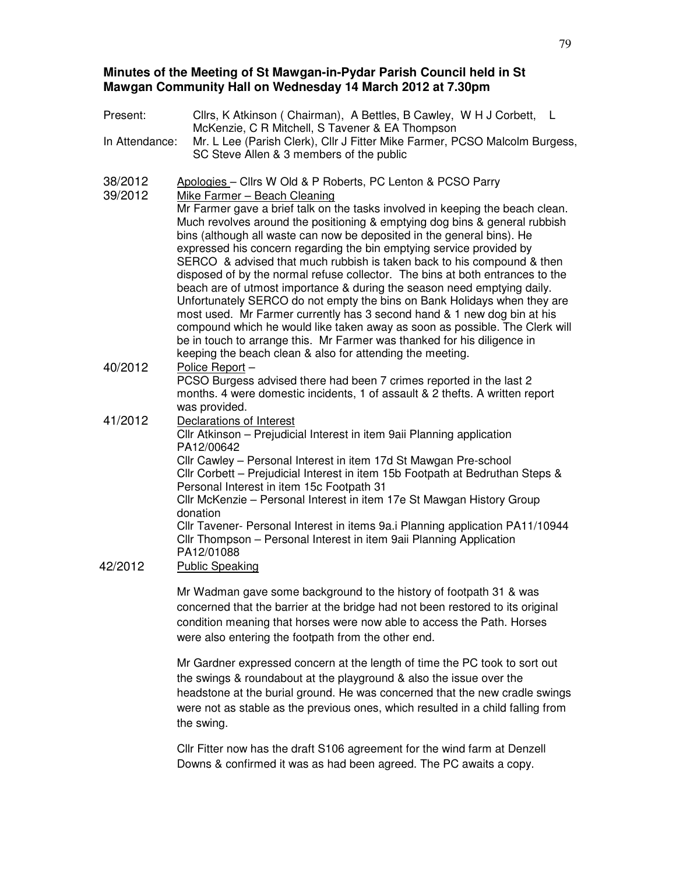# **Minutes of the Meeting of St Mawgan-in-Pydar Parish Council held in St Mawgan Community Hall on Wednesday 14 March 2012 at 7.30pm**

| Present:           | Cllrs, K Atkinson (Chairman), A Bettles, B Cawley, W H J Corbett, L<br>McKenzie, C R Mitchell, S Tavener & EA Thompson                                                                                                                                                                                                                                                                                                                                                                                                                                                                                                                                                                                                                                                                                                                                                                                                            |
|--------------------|-----------------------------------------------------------------------------------------------------------------------------------------------------------------------------------------------------------------------------------------------------------------------------------------------------------------------------------------------------------------------------------------------------------------------------------------------------------------------------------------------------------------------------------------------------------------------------------------------------------------------------------------------------------------------------------------------------------------------------------------------------------------------------------------------------------------------------------------------------------------------------------------------------------------------------------|
| In Attendance:     | Mr. L Lee (Parish Clerk), Cllr J Fitter Mike Farmer, PCSO Malcolm Burgess,<br>SC Steve Allen & 3 members of the public                                                                                                                                                                                                                                                                                                                                                                                                                                                                                                                                                                                                                                                                                                                                                                                                            |
| 38/2012<br>39/2012 | Apologies - Cllrs W Old & P Roberts, PC Lenton & PCSO Parry<br>Mike Farmer - Beach Cleaning                                                                                                                                                                                                                                                                                                                                                                                                                                                                                                                                                                                                                                                                                                                                                                                                                                       |
|                    | Mr Farmer gave a brief talk on the tasks involved in keeping the beach clean.<br>Much revolves around the positioning & emptying dog bins & general rubbish<br>bins (although all waste can now be deposited in the general bins). He<br>expressed his concern regarding the bin emptying service provided by<br>SERCO & advised that much rubbish is taken back to his compound & then<br>disposed of by the normal refuse collector. The bins at both entrances to the<br>beach are of utmost importance & during the season need emptying daily.<br>Unfortunately SERCO do not empty the bins on Bank Holidays when they are<br>most used. Mr Farmer currently has 3 second hand & 1 new dog bin at his<br>compound which he would like taken away as soon as possible. The Clerk will<br>be in touch to arrange this. Mr Farmer was thanked for his diligence in<br>keeping the beach clean & also for attending the meeting. |
| 40/2012            | Police Report-<br>PCSO Burgess advised there had been 7 crimes reported in the last 2<br>months. 4 were domestic incidents, 1 of assault & 2 thefts. A written report<br>was provided.                                                                                                                                                                                                                                                                                                                                                                                                                                                                                                                                                                                                                                                                                                                                            |
| 41/2012            | Declarations of Interest<br>Cllr Atkinson - Prejudicial Interest in item 9aii Planning application<br>PA12/00642                                                                                                                                                                                                                                                                                                                                                                                                                                                                                                                                                                                                                                                                                                                                                                                                                  |
|                    | Cllr Cawley - Personal Interest in item 17d St Mawgan Pre-school<br>Cllr Corbett - Prejudicial Interest in item 15b Footpath at Bedruthan Steps &<br>Personal Interest in item 15c Footpath 31<br>Cllr McKenzie - Personal Interest in item 17e St Mawgan History Group                                                                                                                                                                                                                                                                                                                                                                                                                                                                                                                                                                                                                                                           |
| 42/2012            | donation<br>Cllr Tavener- Personal Interest in items 9a.i Planning application PA11/10944<br>Cllr Thompson - Personal Interest in item 9ail Planning Application<br>PA12/01088<br><b>Public Speaking</b>                                                                                                                                                                                                                                                                                                                                                                                                                                                                                                                                                                                                                                                                                                                          |
|                    | Mr Wadman gave some background to the bistory of footpath 31 & was                                                                                                                                                                                                                                                                                                                                                                                                                                                                                                                                                                                                                                                                                                                                                                                                                                                                |

Mr Wadman gave some background to the history of footpath 31 & was concerned that the barrier at the bridge had not been restored to its original condition meaning that horses were now able to access the Path. Horses were also entering the footpath from the other end.

Mr Gardner expressed concern at the length of time the PC took to sort out the swings & roundabout at the playground & also the issue over the headstone at the burial ground. He was concerned that the new cradle swings were not as stable as the previous ones, which resulted in a child falling from the swing.

Cllr Fitter now has the draft S106 agreement for the wind farm at Denzell Downs & confirmed it was as had been agreed. The PC awaits a copy.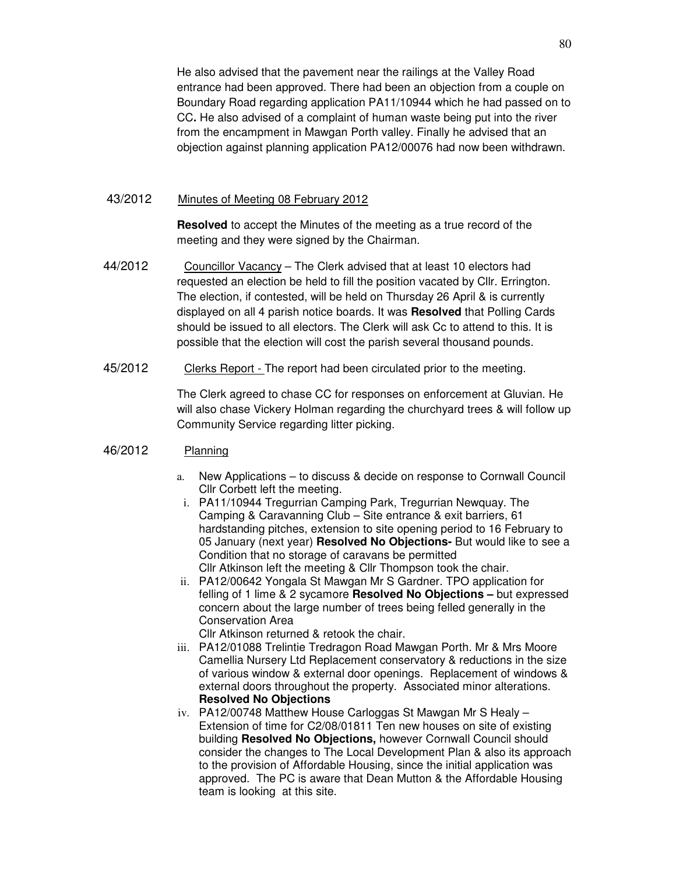He also advised that the pavement near the railings at the Valley Road entrance had been approved. There had been an objection from a couple on Boundary Road regarding application PA11/10944 which he had passed on to CC**.** He also advised of a complaint of human waste being put into the river from the encampment in Mawgan Porth valley. Finally he advised that an objection against planning application PA12/00076 had now been withdrawn.

#### 43/2012 Minutes of Meeting 08 February 2012

**Resolved** to accept the Minutes of the meeting as a true record of the meeting and they were signed by the Chairman.

- 44/2012 Councillor Vacancy The Clerk advised that at least 10 electors had requested an election be held to fill the position vacated by Cllr. Errington. The election, if contested, will be held on Thursday 26 April & is currently displayed on all 4 parish notice boards. It was **Resolved** that Polling Cards should be issued to all electors. The Clerk will ask Cc to attend to this. It is possible that the election will cost the parish several thousand pounds.
- 45/2012 Clerks Report The report had been circulated prior to the meeting.

The Clerk agreed to chase CC for responses on enforcement at Gluvian. He will also chase Vickery Holman regarding the churchyard trees & will follow up Community Service regarding litter picking.

### 46/2012 Planning

- a. New Applications to discuss & decide on response to Cornwall Council Cllr Corbett left the meeting.
- i. PA11/10944 Tregurrian Camping Park, Tregurrian Newquay. The Camping & Caravanning Club – Site entrance & exit barriers, 61 hardstanding pitches, extension to site opening period to 16 February to 05 January (next year) **Resolved No Objections-** But would like to see a Condition that no storage of caravans be permitted Cllr Atkinson left the meeting & Cllr Thompson took the chair.
- ii. PA12/00642 Yongala St Mawgan Mr S Gardner. TPO application for felling of 1 lime & 2 sycamore **Resolved No Objections –** but expressed concern about the large number of trees being felled generally in the Conservation Area

Cllr Atkinson returned & retook the chair.

- iii. PA12/01088 Trelintie Tredragon Road Mawgan Porth. Mr & Mrs Moore Camellia Nursery Ltd Replacement conservatory & reductions in the size of various window & external door openings. Replacement of windows & external doors throughout the property. Associated minor alterations. **Resolved No Objections**
- iv. PA12/00748 Matthew House Carloggas St Mawgan Mr S Healy Extension of time for C2/08/01811 Ten new houses on site of existing building **Resolved No Objections,** however Cornwall Council should consider the changes to The Local Development Plan & also its approach to the provision of Affordable Housing, since the initial application was approved. The PC is aware that Dean Mutton & the Affordable Housing team is looking at this site.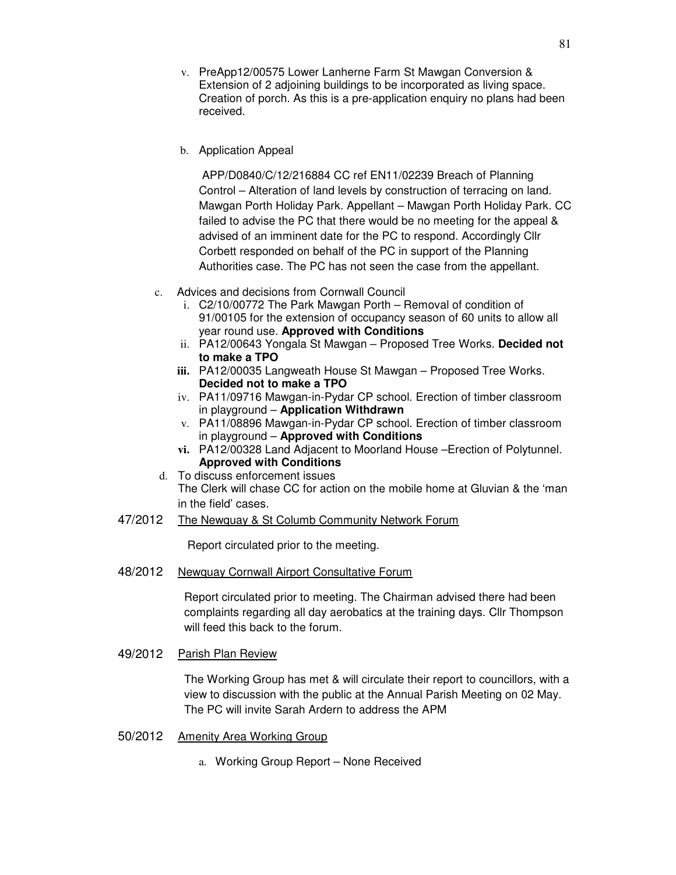- v. PreApp12/00575 Lower Lanherne Farm St Mawgan Conversion & Extension of 2 adjoining buildings to be incorporated as living space. Creation of porch. As this is a pre-application enquiry no plans had been received.
- b. Application Appeal

 APP/D0840/C/12/216884 CC ref EN11/02239 Breach of Planning Control – Alteration of land levels by construction of terracing on land. Mawgan Porth Holiday Park. Appellant – Mawgan Porth Holiday Park. CC failed to advise the PC that there would be no meeting for the appeal & advised of an imminent date for the PC to respond. Accordingly Cllr Corbett responded on behalf of the PC in support of the Planning Authorities case. The PC has not seen the case from the appellant.

- c. Advices and decisions from Cornwall Council
	- i. C2/10/00772 The Park Mawgan Porth Removal of condition of 91/00105 for the extension of occupancy season of 60 units to allow all year round use. **Approved with Conditions**
	- ii. PA12/00643 Yongala St Mawgan Proposed Tree Works. **Decided not to make a TPO**
	- **iii.** PA12/00035 Langweath House St Mawgan Proposed Tree Works. **Decided not to make a TPO**
	- iv. PA11/09716 Mawgan-in-Pydar CP school. Erection of timber classroom in playground – **Application Withdrawn**
	- v. PA11/08896 Mawgan-in-Pydar CP school. Erection of timber classroom in playground – **Approved with Conditions**
	- **vi.** PA12/00328 Land Adjacent to Moorland House –Erection of Polytunnel. **Approved with Conditions**
- d. To discuss enforcement issues The Clerk will chase CC for action on the mobile home at Gluvian & the 'man in the field' cases.
- 47/2012 The Newquay & St Columb Community Network Forum

Report circulated prior to the meeting.

48/2012 Newquay Cornwall Airport Consultative Forum

Report circulated prior to meeting. The Chairman advised there had been complaints regarding all day aerobatics at the training days. Cllr Thompson will feed this back to the forum.

49/2012 Parish Plan Review

The Working Group has met & will circulate their report to councillors, with a view to discussion with the public at the Annual Parish Meeting on 02 May. The PC will invite Sarah Ardern to address the APM

- 50/2012 Amenity Area Working Group
	- a. Working Group Report None Received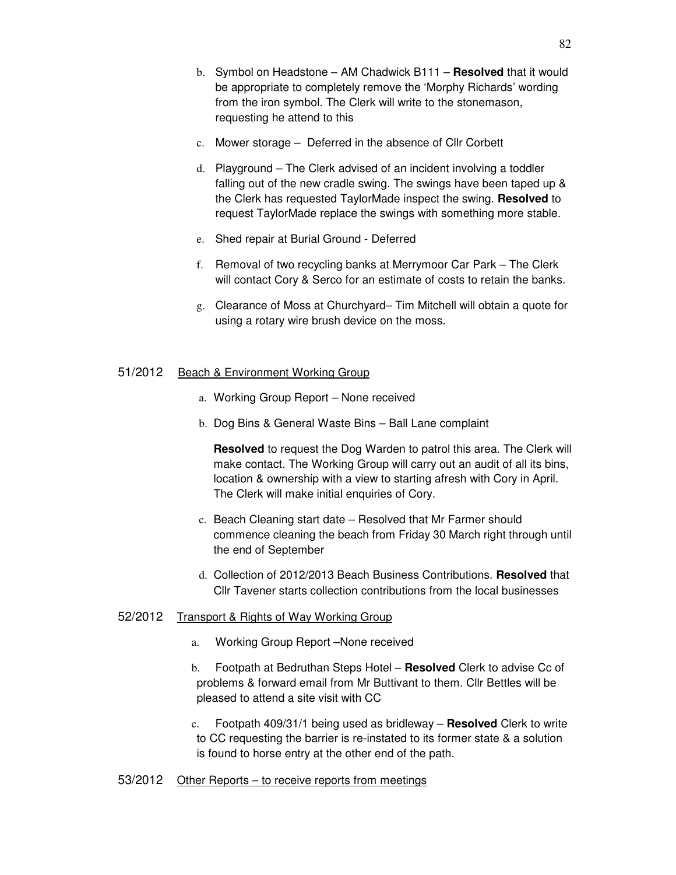- c. Mower storage Deferred in the absence of Cllr Corbett
- d. Playground The Clerk advised of an incident involving a toddler falling out of the new cradle swing. The swings have been taped up & the Clerk has requested TaylorMade inspect the swing. **Resolved** to request TaylorMade replace the swings with something more stable.
- e. Shed repair at Burial Ground Deferred
- f. Removal of two recycling banks at Merrymoor Car Park The Clerk will contact Cory & Serco for an estimate of costs to retain the banks.
- g. Clearance of Moss at Churchyard– Tim Mitchell will obtain a quote for using a rotary wire brush device on the moss.

#### 51/2012 Beach & Environment Working Group

- a. Working Group Report None received
- b. Dog Bins & General Waste Bins Ball Lane complaint

**Resolved** to request the Dog Warden to patrol this area. The Clerk will make contact. The Working Group will carry out an audit of all its bins, location & ownership with a view to starting afresh with Cory in April. The Clerk will make initial enquiries of Cory.

- c. Beach Cleaning start date Resolved that Mr Farmer should commence cleaning the beach from Friday 30 March right through until the end of September
- d. Collection of 2012/2013 Beach Business Contributions. **Resolved** that Cllr Tavener starts collection contributions from the local businesses

## 52/2012 Transport & Rights of Way Working Group

- a. Working Group Report –None received
- b. Footpath at Bedruthan Steps Hotel **Resolved** Clerk to advise Cc of problems & forward email from Mr Buttivant to them. Cllr Bettles will be pleased to attend a site visit with CC
- c. Footpath 409/31/1 being used as bridleway **Resolved** Clerk to write to CC requesting the barrier is re-instated to its former state & a solution is found to horse entry at the other end of the path.

#### 53/2012 Other Reports – to receive reports from meetings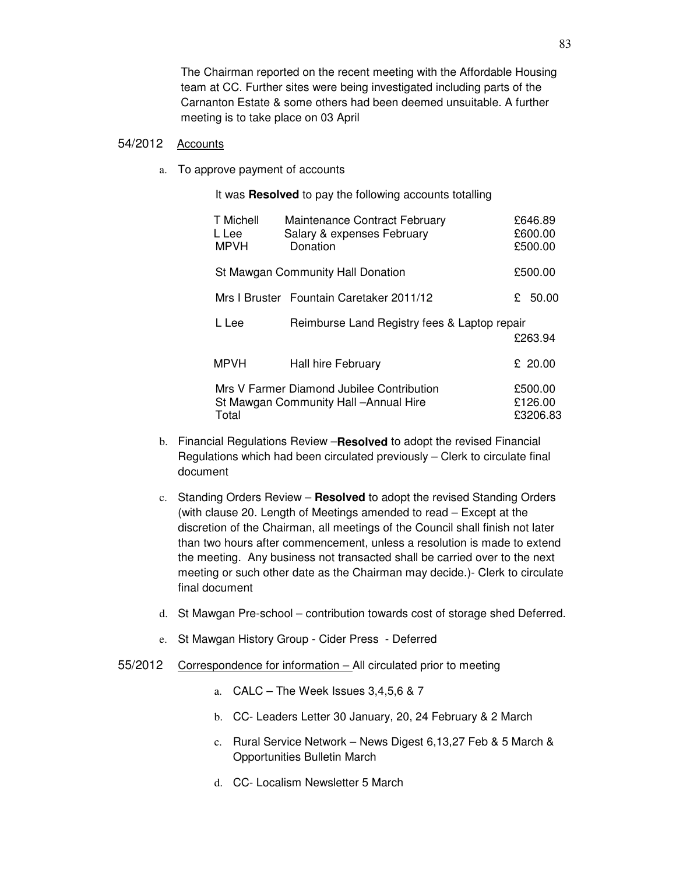The Chairman reported on the recent meeting with the Affordable Housing team at CC. Further sites were being investigated including parts of the Carnanton Estate & some others had been deemed unsuitable. A further meeting is to take place on 03 April

#### 54/2012 Accounts

a. To approve payment of accounts

It was **Resolved** to pay the following accounts totalling

| T Michell<br>L Lee<br><b>MPVH</b> | Maintenance Contract February<br>Donation    | £646.89<br>£600.00<br>£500.00                                                                                                                                                                      |
|-----------------------------------|----------------------------------------------|----------------------------------------------------------------------------------------------------------------------------------------------------------------------------------------------------|
|                                   |                                              | £500.00                                                                                                                                                                                            |
|                                   |                                              | 50.00<br>£                                                                                                                                                                                         |
| L Lee                             | Reimburse Land Registry fees & Laptop repair | £263.94                                                                                                                                                                                            |
| <b>MPVH</b>                       | <b>Hall hire February</b>                    | £ 20.00                                                                                                                                                                                            |
| Total                             |                                              | £500.00<br>£126.00<br>£3206.83                                                                                                                                                                     |
|                                   |                                              | Salary & expenses February<br>St Mawgan Community Hall Donation<br>Mrs I Bruster Fountain Caretaker 2011/12<br>Mrs V Farmer Diamond Jubilee Contribution<br>St Mawgan Community Hall - Annual Hire |

- b. Financial Regulations Review –**Resolved** to adopt the revised Financial Regulations which had been circulated previously – Clerk to circulate final document
- c. Standing Orders Review **Resolved** to adopt the revised Standing Orders (with clause 20. Length of Meetings amended to read – Except at the discretion of the Chairman, all meetings of the Council shall finish not later than two hours after commencement, unless a resolution is made to extend the meeting. Any business not transacted shall be carried over to the next meeting or such other date as the Chairman may decide.)- Clerk to circulate final document
- d. St Mawgan Pre-school contribution towards cost of storage shed Deferred.
- e. St Mawgan History Group Cider Press Deferred
- 55/2012 Correspondence for information All circulated prior to meeting
	- a. CALC The Week Issues 3,4,5,6 & 7
	- b. CC- Leaders Letter 30 January, 20, 24 February & 2 March
	- c. Rural Service Network News Digest 6,13,27 Feb & 5 March & Opportunities Bulletin March
	- d. CC- Localism Newsletter 5 March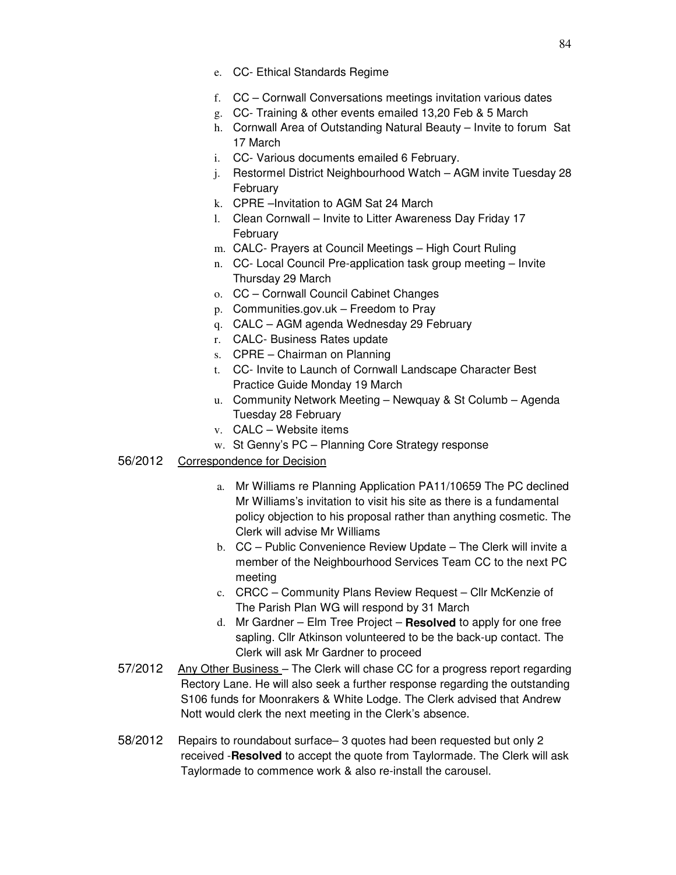- e. CC- Ethical Standards Regime
- f. CC Cornwall Conversations meetings invitation various dates
- g. CC- Training & other events emailed 13,20 Feb & 5 March
- h. Cornwall Area of Outstanding Natural Beauty Invite to forum Sat 17 March
- i. CC- Various documents emailed 6 February.
- j. Restormel District Neighbourhood Watch AGM invite Tuesday 28 February
- k. CPRE –Invitation to AGM Sat 24 March
- l. Clean Cornwall Invite to Litter Awareness Day Friday 17 February
- m. CALC- Prayers at Council Meetings High Court Ruling
- n. CC- Local Council Pre-application task group meeting Invite Thursday 29 March
- o. CC Cornwall Council Cabinet Changes
- p. Communities.gov.uk Freedom to Pray
- q. CALC AGM agenda Wednesday 29 February
- r. CALC- Business Rates update
- s. CPRE Chairman on Planning
- t. CC- Invite to Launch of Cornwall Landscape Character Best Practice Guide Monday 19 March
- u. Community Network Meeting Newquay & St Columb Agenda Tuesday 28 February
- v. CALC Website items
- w. St Genny's PC Planning Core Strategy response
- 56/2012 Correspondence for Decision
	- a. Mr Williams re Planning Application PA11/10659 The PC declined Mr Williams's invitation to visit his site as there is a fundamental policy objection to his proposal rather than anything cosmetic. The Clerk will advise Mr Williams
	- b. CC Public Convenience Review Update The Clerk will invite a member of the Neighbourhood Services Team CC to the next PC meeting
	- c. CRCC Community Plans Review Request Cllr McKenzie of The Parish Plan WG will respond by 31 March
	- d. Mr Gardner Elm Tree Project **Resolved** to apply for one free sapling. Cllr Atkinson volunteered to be the back-up contact. The Clerk will ask Mr Gardner to proceed
- 57/2012 Any Other Business The Clerk will chase CC for a progress report regarding Rectory Lane. He will also seek a further response regarding the outstanding S106 funds for Moonrakers & White Lodge. The Clerk advised that Andrew Nott would clerk the next meeting in the Clerk's absence.
- 58/2012 Repairs to roundabout surface– 3 quotes had been requested but only 2 received -**Resolved** to accept the quote from Taylormade. The Clerk will ask Taylormade to commence work & also re-install the carousel.